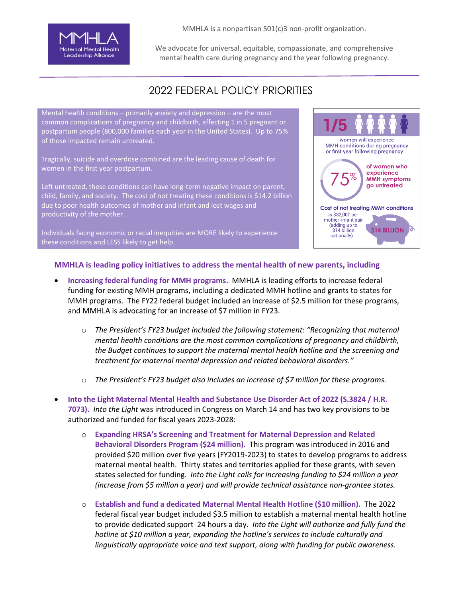

MMHLA is a nonpartisan 501(c)3 non-profit organization.

We advocate for universal, equitable, compassionate, and comprehensive mental health care during pregnancy and the year following pregnancy.

## 2022 FEDERAL POLICY PRIORITIES

Mental health conditions – primarily anxiety and depression – are the most common complications of pregnancy and childbirth, affecting 1 in 5 pregnant or postpartum people (800,000 families each year in the United States). Up to 75% of those impacted remain untreated.

Tragically, suicide and overdose combined are the leading cause of death for women in the first year postpartum.

Left untreated, these conditions can have long-term negative impact on parent, child, family, and society. The cost of not treating these conditions is \$14.2 billion due to poor health outcomes of mother and infant and lost wages and productivity of the mother.

Individuals facing economic or racial inequities are MORE likely to experience these conditions and LESS likely to get help.



## **MMHLA is leading policy initiatives to address the mental health of new parents, including**

- **Increasing federal funding for MMH programs**. MMHLA is leading efforts to increase federal funding for existing MMH programs, including a dedicated MMH hotline and grants to states for MMH programs. The FY22 federal budget included an increase of \$2.5 million for these programs, and MMHLA is advocating for an increase of \$7 million in FY23.
	- o *The President's FY23 budget included the following statement: "Recognizing that maternal mental health conditions are the most common complications of pregnancy and childbirth, the Budget continues to support the maternal mental health hotline and the screening and treatment for maternal mental depression and related behavioral disorders."*
	- o *The President's FY23 budget also includes an increase of \$7 million for these programs.*
- **Into the Light Maternal Mental Health and Substance Use Disorder Act of 2022 (S.3824 / H.R. 7073).** *Into the Light* was introduced in Congress on March 14 and has two key provisions to be authorized and funded for fiscal years 2023-2028:
	- o **Expanding HRSA's Screening and Treatment for Maternal Depression and Related Behavioral Disorders Program (\$24 million).** This program was introduced in 2016 and provided \$20 million over five years (FY2019-2023) to states to develop programs to address maternal mental health. Thirty states and territories applied for these grants, with seven states selected for funding. *Into the Light calls for increasing funding to \$24 million a year (increase from \$5 million a year) and will provide technical assistance non-grantee states.*
	- o **Establish and fund a dedicated Maternal Mental Health Hotline (\$10 million).** The 2022 federal fiscal year budget included \$3.5 million to establish a maternal mental health hotline to provide dedicated support 24 hours a day. *Into the Light will authorize and fully fund the hotline* at \$10 million a year, expanding the hotline's services to include culturally and *linguistically appropriate voice and text support, along with funding for public awareness.*